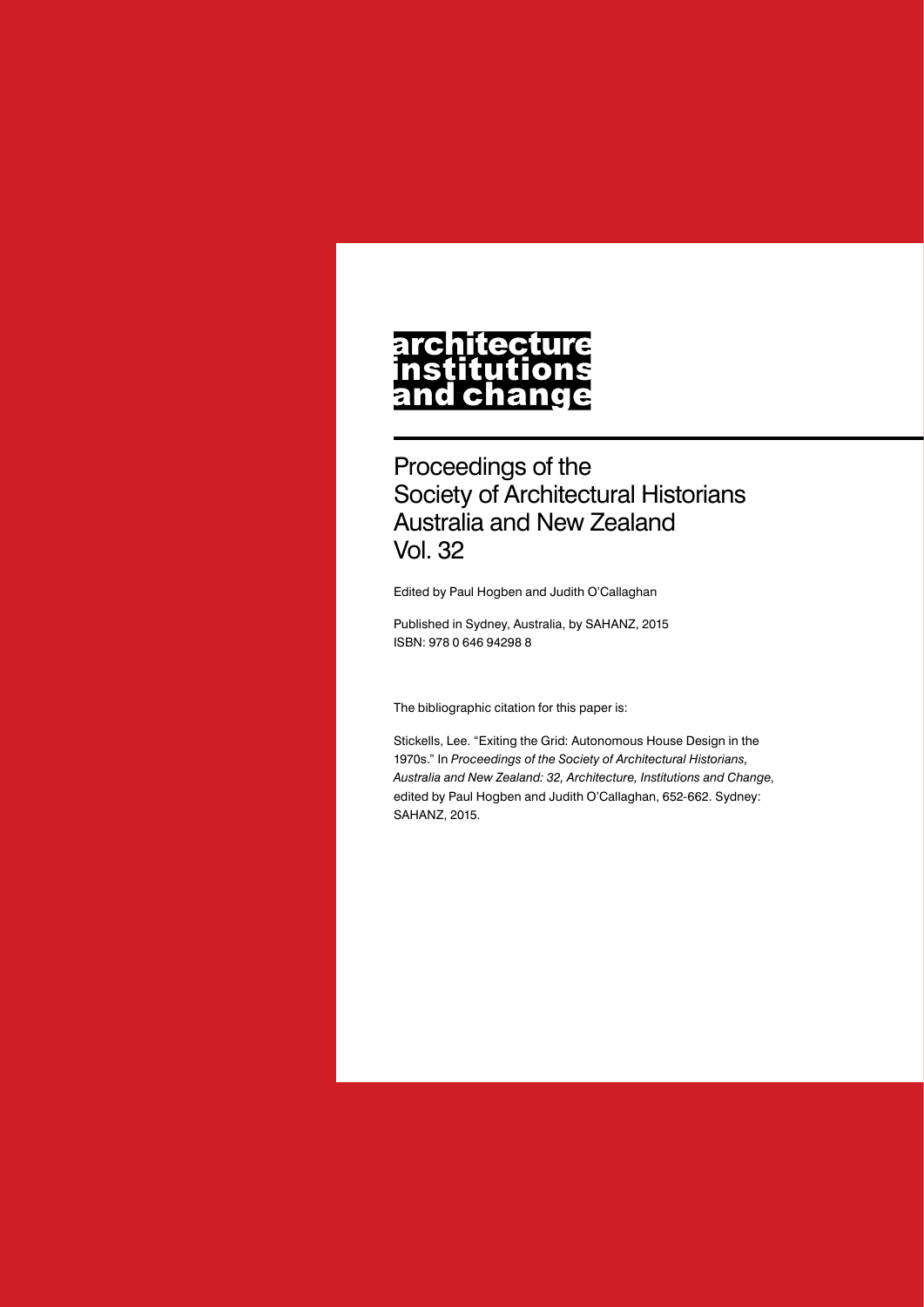## **architecture** nstitutions **ch** nd a

Proceedings of the Society of Architectural Historians Australia and New Zealand Vol. 32

Edited by Paul Hogben and Judith O'Callaghan

Published in Sydney, Australia, by SAHANZ, 2015 ISBN: 978 0 646 94298 8

The bibliographic citation for this paper is:

Stickells, Lee. "Exiting the Grid: Autonomous House Design in the 1970s." In *Proceedings of the Society of Architectural Historians, Australia and New Zealand: 32, Architecture, Institutions and Change*, edited by Paul Hogben and Judith O'Callaghan, 652-662. Sydney: SAHANZ, 2015.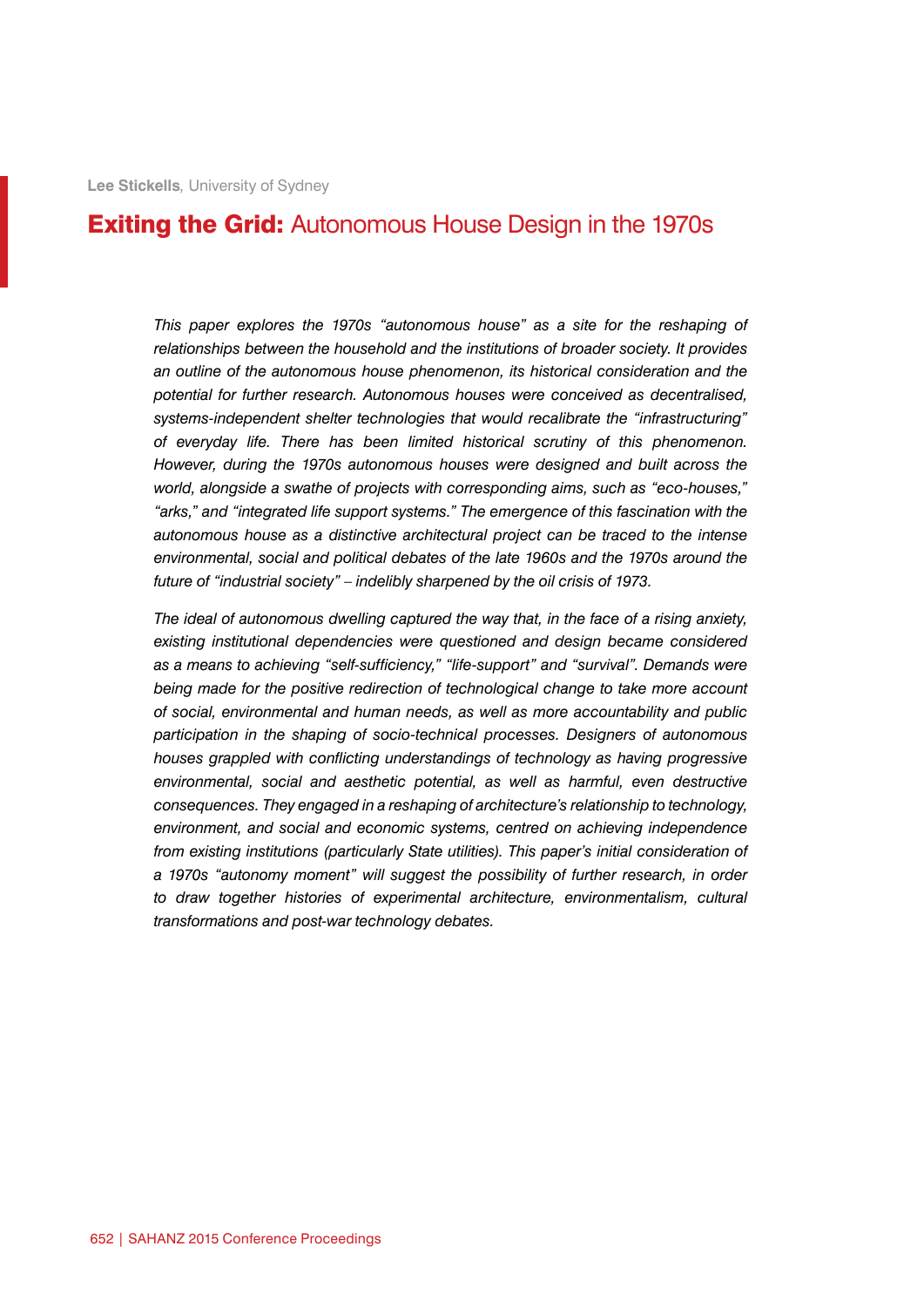## **Exiting the Grid:** Autonomous House Design in the 1970s

*This paper explores the 1970s "autonomous house" as a site for the reshaping of relationships between the household and the institutions of broader society. It provides an outline of the autonomous house phenomenon, its historical consideration and the potential for further research. Autonomous houses were conceived as decentralised, systems-independent shelter technologies that would recalibrate the "infrastructuring" of everyday life. There has been limited historical scrutiny of this phenomenon. However, during the 1970s autonomous houses were designed and built across the world, alongside a swathe of projects with corresponding aims, such as "eco-houses," "arks," and "integrated life support systems." The emergence of this fascination with the autonomous house as a distinctive architectural project can be traced to the intense*  environmental, social and political debates of the late 1960s and the 1970s around the *future of "industrial society" – indelibly sharpened by the oil crisis of 1973.*

*The ideal of autonomous dwelling captured the way that, in the face of a rising anxiety, existing institutional dependencies were questioned and design became considered as a means to achieving "self-sufficiency," "life-support" and "survival". Demands were*  being made for the positive redirection of technological change to take more account *of social, environmental and human needs, as well as more accountability and public participation in the shaping of socio-technical processes. Designers of autonomous houses grappled with conflicting understandings of technology as having progressive environmental, social and aesthetic potential, as well as harmful, even destructive consequences. They engaged in a reshaping of architecture's relationship to technology, environment, and social and economic systems, centred on achieving independence from existing institutions (particularly State utilities). This paper's initial consideration of a 1970s "autonomy moment" will suggest the possibility of further research, in order to draw together histories of experimental architecture, environmentalism, cultural transformations and post-war technology debates.*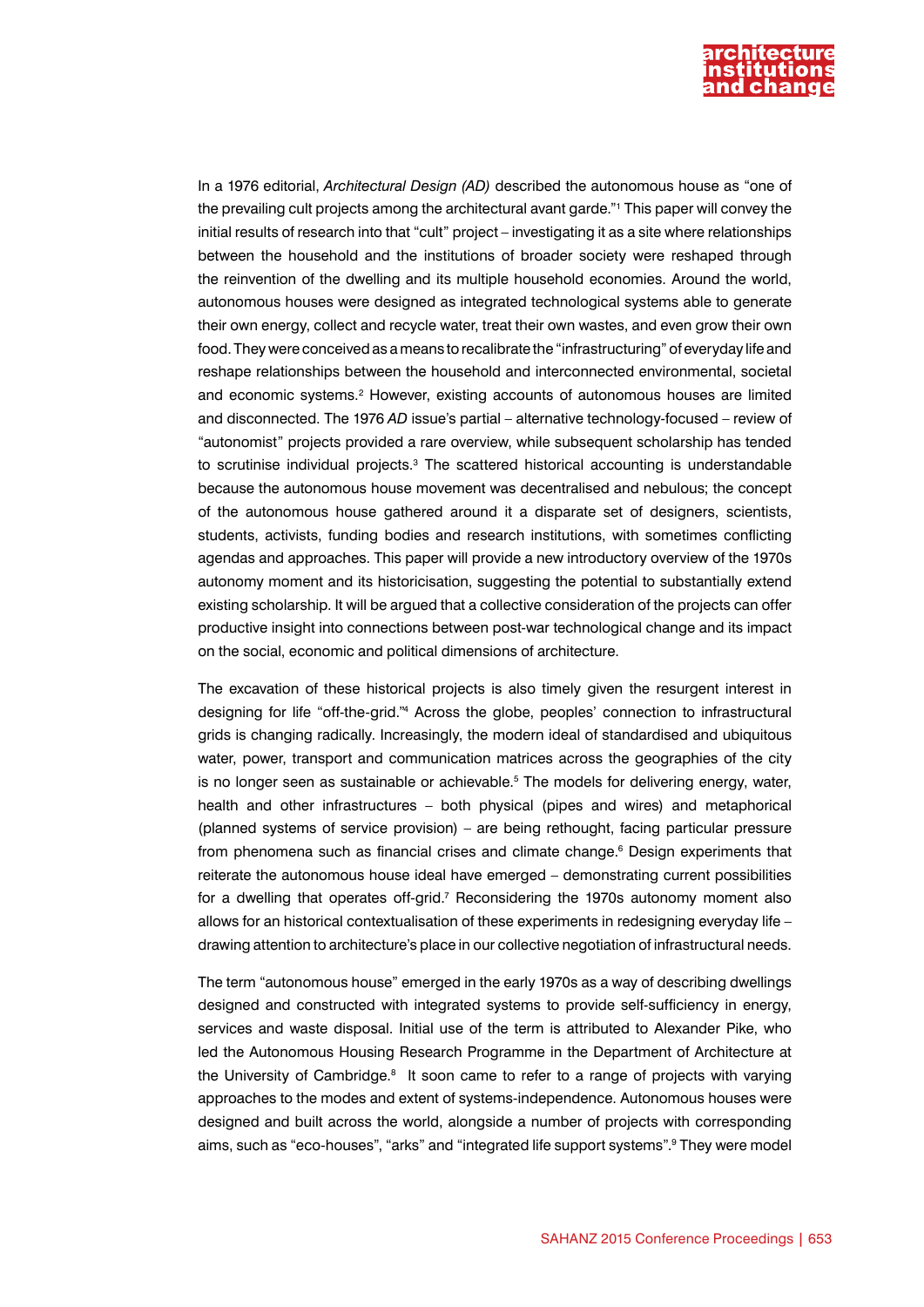

In a 1976 editorial, *Architectural Design (AD)* described the autonomous house as "one of the prevailing cult projects among the architectural avant garde."1 This paper will convey the initial results of research into that "cult" project – investigating it as a site where relationships between the household and the institutions of broader society were reshaped through the reinvention of the dwelling and its multiple household economies. Around the world, autonomous houses were designed as integrated technological systems able to generate their own energy, collect and recycle water, treat their own wastes, and even grow their own food. They were conceived as a means to recalibrate the "infrastructuring" of everyday life and reshape relationships between the household and interconnected environmental, societal and economic systems.<sup>2</sup> However, existing accounts of autonomous houses are limited and disconnected. The 1976 *AD* issue's partial – alternative technology-focused – review of "autonomist" projects provided a rare overview, while subsequent scholarship has tended to scrutinise individual projects.<sup>3</sup> The scattered historical accounting is understandable because the autonomous house movement was decentralised and nebulous; the concept of the autonomous house gathered around it a disparate set of designers, scientists, students, activists, funding bodies and research institutions, with sometimes conflicting agendas and approaches. This paper will provide a new introductory overview of the 1970s autonomy moment and its historicisation, suggesting the potential to substantially extend existing scholarship. It will be argued that a collective consideration of the projects can offer productive insight into connections between post-war technological change and its impact on the social, economic and political dimensions of architecture.

The excavation of these historical projects is also timely given the resurgent interest in designing for life "off-the-grid."4 Across the globe, peoples' connection to infrastructural grids is changing radically. Increasingly, the modern ideal of standardised and ubiquitous water, power, transport and communication matrices across the geographies of the city is no longer seen as sustainable or achievable.<sup>5</sup> The models for delivering energy, water, health and other infrastructures – both physical (pipes and wires) and metaphorical (planned systems of service provision) – are being rethought, facing particular pressure from phenomena such as financial crises and climate change.<sup>6</sup> Design experiments that reiterate the autonomous house ideal have emerged – demonstrating current possibilities for a dwelling that operates off-grid.<sup>7</sup> Reconsidering the 1970s autonomy moment also allows for an historical contextualisation of these experiments in redesigning everyday life – drawing attention to architecture's place in our collective negotiation of infrastructural needs.

The term "autonomous house" emerged in the early 1970s as a way of describing dwellings designed and constructed with integrated systems to provide self-sufficiency in energy, services and waste disposal. Initial use of the term is attributed to Alexander Pike, who led the Autonomous Housing Research Programme in the Department of Architecture at the University of Cambridge.<sup>8</sup> It soon came to refer to a range of projects with varying approaches to the modes and extent of systems-independence. Autonomous houses were designed and built across the world, alongside a number of projects with corresponding aims, such as "eco-houses", "arks" and "integrated life support systems".<sup>9</sup> They were model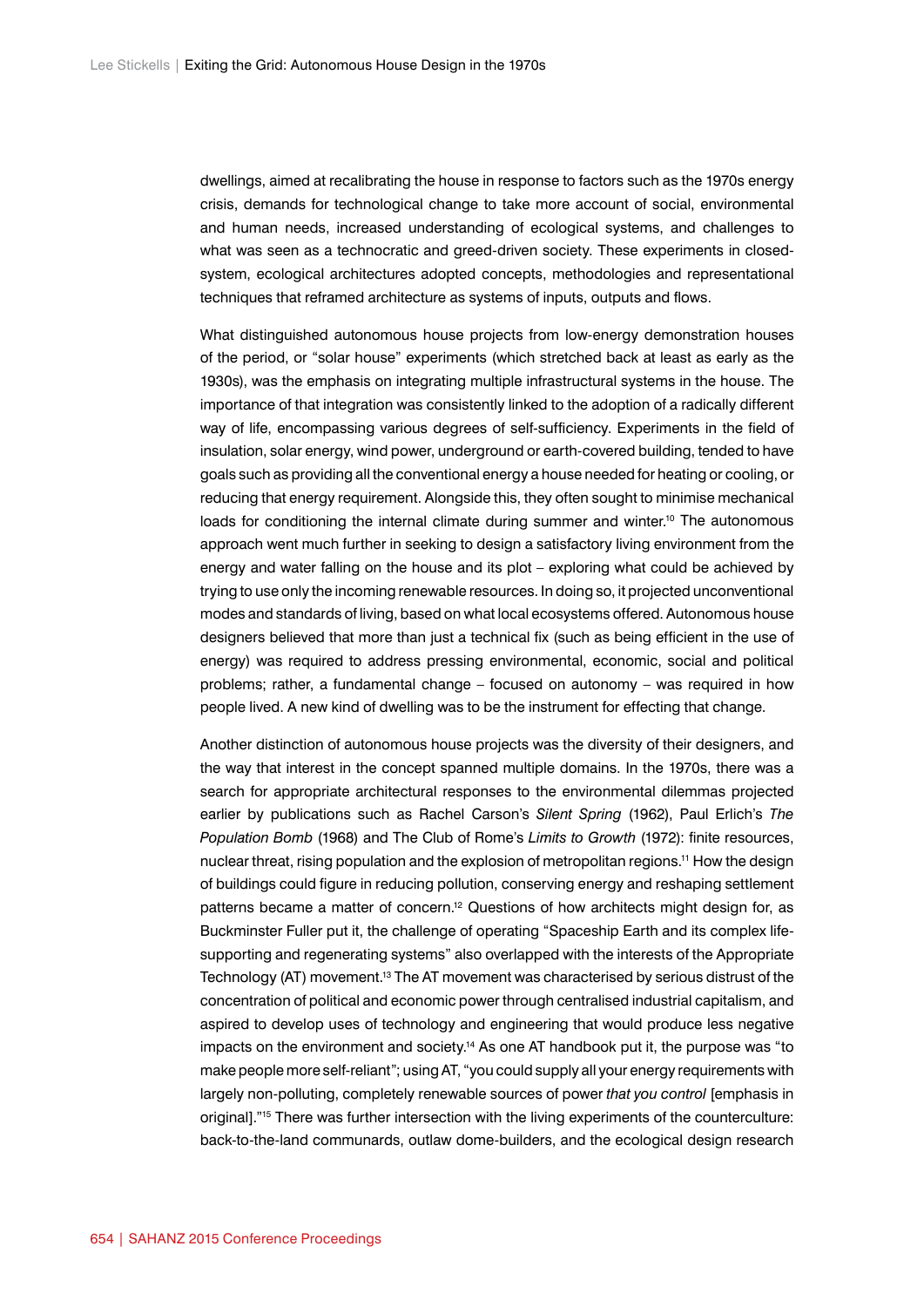dwellings, aimed at recalibrating the house in response to factors such as the 1970s energy crisis, demands for technological change to take more account of social, environmental and human needs, increased understanding of ecological systems, and challenges to what was seen as a technocratic and greed-driven society. These experiments in closedsystem, ecological architectures adopted concepts, methodologies and representational techniques that reframed architecture as systems of inputs, outputs and flows.

What distinguished autonomous house projects from low-energy demonstration houses of the period, or "solar house" experiments (which stretched back at least as early as the 1930s), was the emphasis on integrating multiple infrastructural systems in the house. The importance of that integration was consistently linked to the adoption of a radically different way of life, encompassing various degrees of self-sufficiency. Experiments in the field of insulation, solar energy, wind power, underground or earth-covered building, tended to have goals such as providing all the conventional energy a house needed for heating or cooling, or reducing that energy requirement. Alongside this, they often sought to minimise mechanical loads for conditioning the internal climate during summer and winter.<sup>10</sup> The autonomous approach went much further in seeking to design a satisfactory living environment from the energy and water falling on the house and its plot – exploring what could be achieved by trying to use only the incoming renewable resources. In doing so, it projected unconventional modes and standards of living, based on what local ecosystems offered. Autonomous house designers believed that more than just a technical fix (such as being efficient in the use of energy) was required to address pressing environmental, economic, social and political problems; rather, a fundamental change – focused on autonomy – was required in how people lived. A new kind of dwelling was to be the instrument for effecting that change.

Another distinction of autonomous house projects was the diversity of their designers, and the way that interest in the concept spanned multiple domains. In the 1970s, there was a search for appropriate architectural responses to the environmental dilemmas projected earlier by publications such as Rachel Carson's *Silent Spring* (1962), Paul Erlich's *The Population Bomb* (1968) and The Club of Rome's *Limits to Growth* (1972): finite resources, nuclear threat, rising population and the explosion of metropolitan regions.<sup>11</sup> How the design of buildings could figure in reducing pollution, conserving energy and reshaping settlement patterns became a matter of concern.<sup>12</sup> Questions of how architects might design for, as Buckminster Fuller put it, the challenge of operating "Spaceship Earth and its complex lifesupporting and regenerating systems" also overlapped with the interests of the Appropriate Technology (AT) movement.<sup>13</sup> The AT movement was characterised by serious distrust of the concentration of political and economic power through centralised industrial capitalism, and aspired to develop uses of technology and engineering that would produce less negative impacts on the environment and society.<sup>14</sup> As one AT handbook put it, the purpose was "to make people more self-reliant"; using AT, "you could supply all your energy requirements with largely non-polluting, completely renewable sources of power *that you control* [emphasis in original]."15 There was further intersection with the living experiments of the counterculture: back-to-the-land communards, outlaw dome-builders, and the ecological design research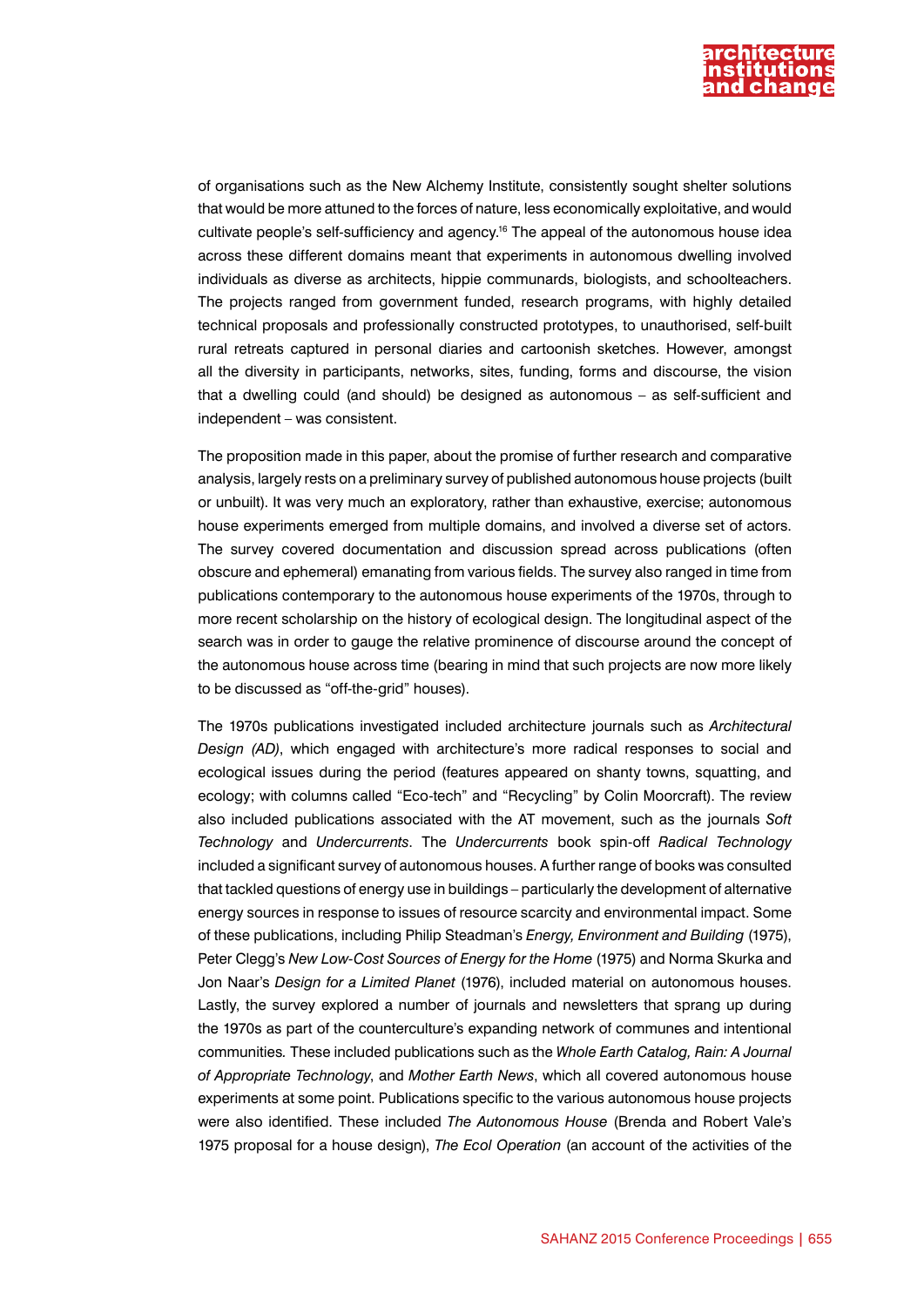

of organisations such as the New Alchemy Institute, consistently sought shelter solutions that would be more attuned to the forces of nature, less economically exploitative, and would cultivate people's self-sufficiency and agency.16 The appeal of the autonomous house idea across these different domains meant that experiments in autonomous dwelling involved individuals as diverse as architects, hippie communards, biologists, and schoolteachers. The projects ranged from government funded, research programs, with highly detailed technical proposals and professionally constructed prototypes, to unauthorised, self-built rural retreats captured in personal diaries and cartoonish sketches. However, amongst all the diversity in participants, networks, sites, funding, forms and discourse, the vision that a dwelling could (and should) be designed as autonomous – as self-sufficient and independent – was consistent.

The proposition made in this paper, about the promise of further research and comparative analysis, largely rests on a preliminary survey of published autonomous house projects (built or unbuilt). It was very much an exploratory, rather than exhaustive, exercise; autonomous house experiments emerged from multiple domains, and involved a diverse set of actors. The survey covered documentation and discussion spread across publications (often obscure and ephemeral) emanating from various fields. The survey also ranged in time from publications contemporary to the autonomous house experiments of the 1970s, through to more recent scholarship on the history of ecological design. The longitudinal aspect of the search was in order to gauge the relative prominence of discourse around the concept of the autonomous house across time (bearing in mind that such projects are now more likely to be discussed as "off-the-grid" houses).

The 1970s publications investigated included architecture journals such as *Architectural Design (AD)*, which engaged with architecture's more radical responses to social and ecological issues during the period (features appeared on shanty towns, squatting, and ecology; with columns called "Eco-tech" and "Recycling" by Colin Moorcraft). The review also included publications associated with the AT movement, such as the journals *Soft Technology* and *Undercurrents*. The *Undercurrents* book spin-off *Radical Technology*  included a significant survey of autonomous houses. A further range of books was consulted that tackled questions of energy use in buildings – particularly the development of alternative energy sources in response to issues of resource scarcity and environmental impact. Some of these publications, including Philip Steadman's *Energy, Environment and Building* (1975), Peter Clegg's *New Low-Cost Sources of Energy for the Home* (1975) and Norma Skurka and Jon Naar's *Design for a Limited Planet* (1976), included material on autonomous houses. Lastly, the survey explored a number of journals and newsletters that sprang up during the 1970s as part of the counterculture's expanding network of communes and intentional communities*.* These included publications such as the *Whole Earth Catalog, Rain: A Journal of Appropriate Technology*, and *Mother Earth News*, which all covered autonomous house experiments at some point. Publications specific to the various autonomous house projects were also identified. These included *The Autonomous House* (Brenda and Robert Vale's 1975 proposal for a house design), *The Ecol Operation* (an account of the activities of the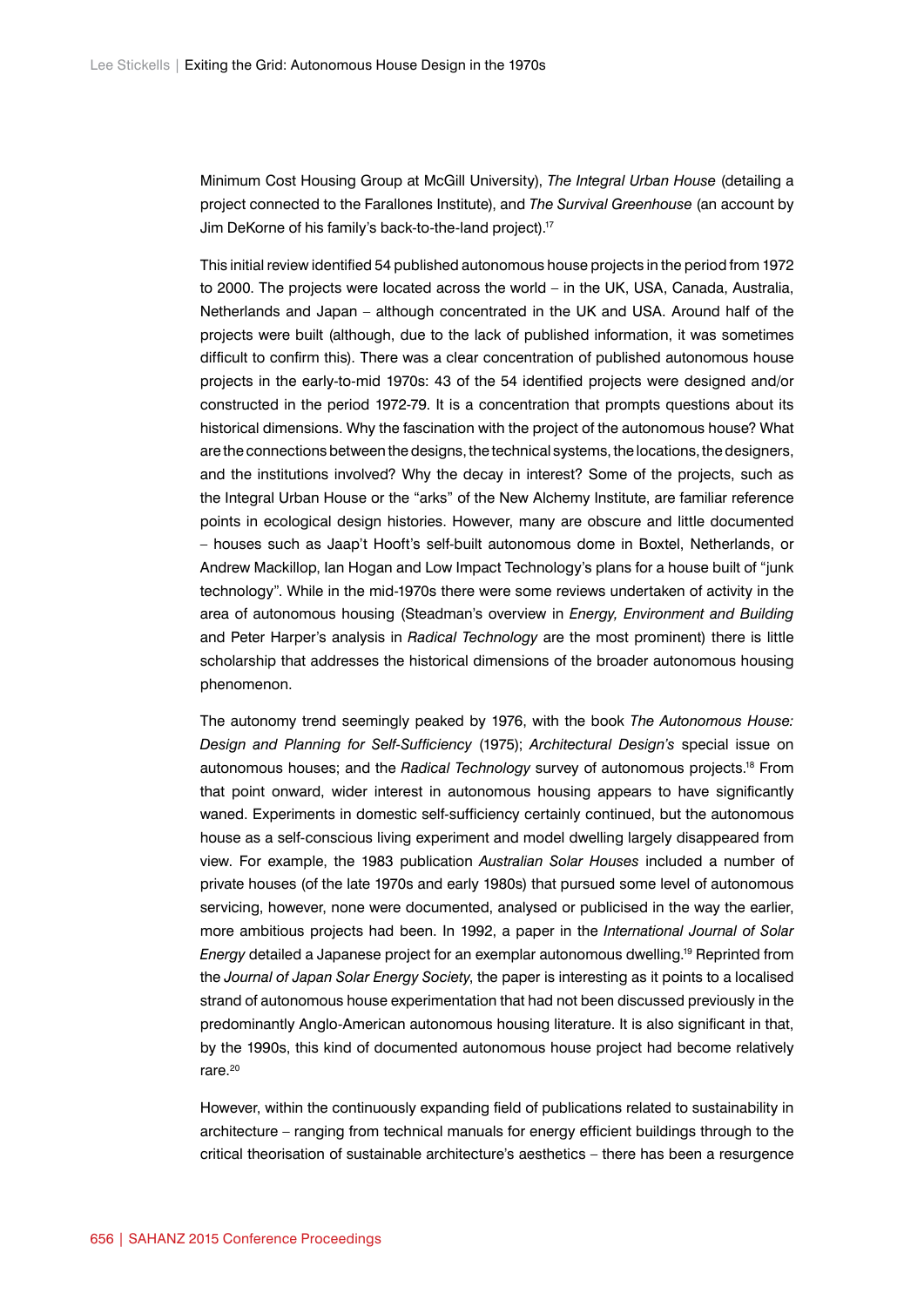Minimum Cost Housing Group at McGill University), *The Integral Urban House* (detailing a project connected to the Farallones Institute), and *The Survival Greenhouse* (an account by Jim DeKorne of his family's back-to-the-land project).17

This initial review identified 54 published autonomous house projects in the period from 1972 to 2000. The projects were located across the world – in the UK, USA, Canada, Australia, Netherlands and Japan – although concentrated in the UK and USA. Around half of the projects were built (although, due to the lack of published information, it was sometimes difficult to confirm this). There was a clear concentration of published autonomous house projects in the early-to-mid 1970s: 43 of the 54 identified projects were designed and/or constructed in the period 1972-79. It is a concentration that prompts questions about its historical dimensions. Why the fascination with the project of the autonomous house? What are the connections between the designs, the technical systems, the locations, the designers, and the institutions involved? Why the decay in interest? Some of the projects, such as the Integral Urban House or the "arks" of the New Alchemy Institute, are familiar reference points in ecological design histories. However, many are obscure and little documented – houses such as Jaap't Hooft's self-built autonomous dome in Boxtel, Netherlands, or Andrew Mackillop, Ian Hogan and Low Impact Technology's plans for a house built of "junk technology". While in the mid-1970s there were some reviews undertaken of activity in the area of autonomous housing (Steadman's overview in *Energy, Environment and Building*  and Peter Harper's analysis in *Radical Technology* are the most prominent) there is little scholarship that addresses the historical dimensions of the broader autonomous housing phenomenon.

The autonomy trend seemingly peaked by 1976, with the book *The Autonomous House: Design and Planning for Self-Sufficiency* (1975); *Architectural Design's* special issue on autonomous houses; and the *Radical Technology* survey of autonomous projects.18 From that point onward, wider interest in autonomous housing appears to have significantly waned. Experiments in domestic self-sufficiency certainly continued, but the autonomous house as a self-conscious living experiment and model dwelling largely disappeared from view. For example, the 1983 publication *Australian Solar Houses* included a number of private houses (of the late 1970s and early 1980s) that pursued some level of autonomous servicing, however, none were documented, analysed or publicised in the way the earlier, more ambitious projects had been. In 1992, a paper in the *International Journal of Solar Energy* detailed a Japanese project for an exemplar autonomous dwelling.19 Reprinted from the *Journal of Japan Solar Energy Society*, the paper is interesting as it points to a localised strand of autonomous house experimentation that had not been discussed previously in the predominantly Anglo-American autonomous housing literature. It is also significant in that, by the 1990s, this kind of documented autonomous house project had become relatively rare.20

However, within the continuously expanding field of publications related to sustainability in architecture – ranging from technical manuals for energy efficient buildings through to the critical theorisation of sustainable architecture's aesthetics – there has been a resurgence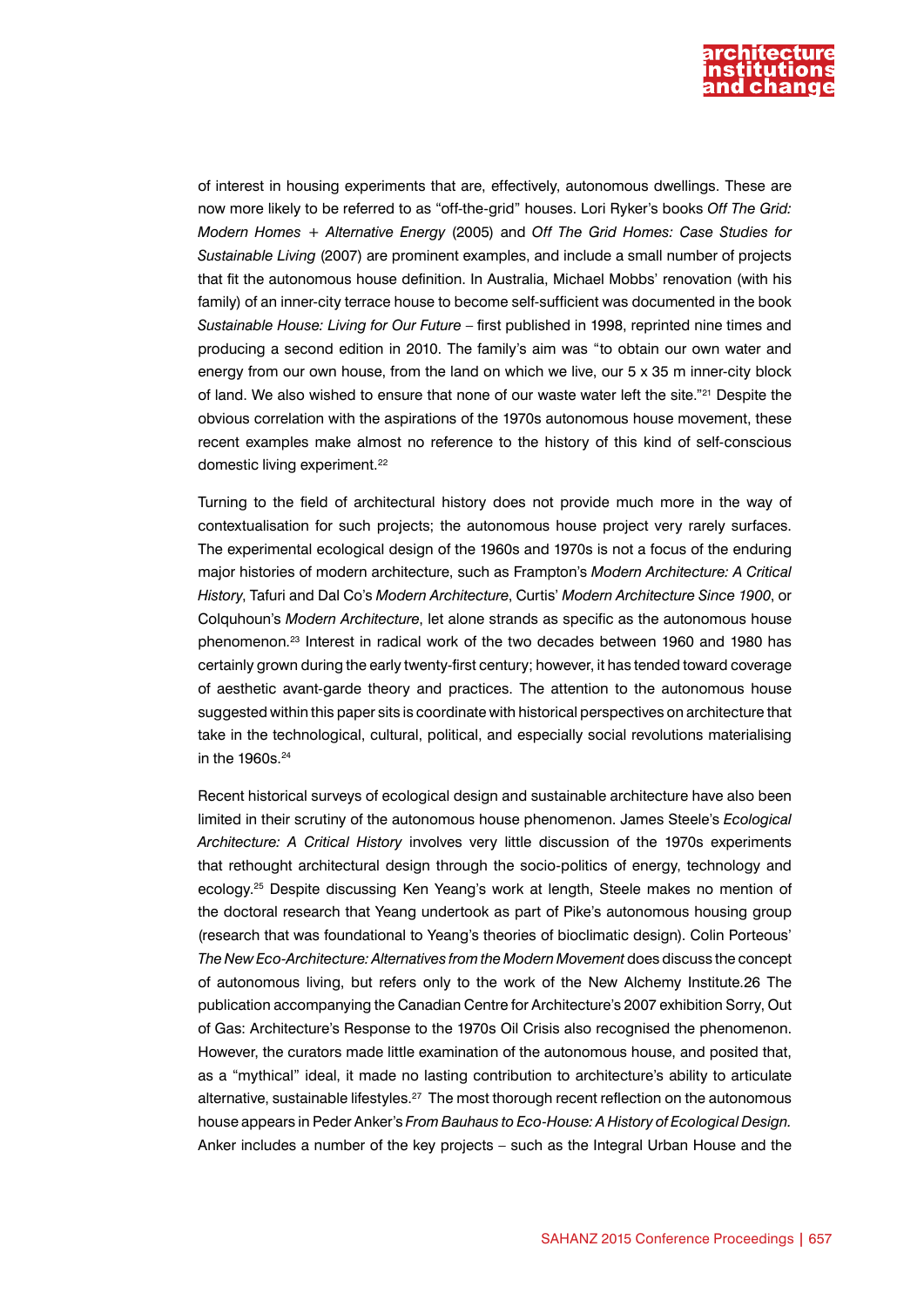

of interest in housing experiments that are, effectively, autonomous dwellings. These are now more likely to be referred to as "off-the-grid" houses. Lori Ryker's books *Off The Grid: Modern Homes + Alternative Energy* (2005) and *Off The Grid Homes: Case Studies for Sustainable Living* (2007) are prominent examples, and include a small number of projects that fit the autonomous house definition. In Australia, Michael Mobbs' renovation (with his family) of an inner-city terrace house to become self-sufficient was documented in the book *Sustainable House: Living for Our Future* – first published in 1998, reprinted nine times and producing a second edition in 2010. The family's aim was "to obtain our own water and energy from our own house, from the land on which we live, our 5 x 35 m inner-city block of land. We also wished to ensure that none of our waste water left the site."21 Despite the obvious correlation with the aspirations of the 1970s autonomous house movement, these recent examples make almost no reference to the history of this kind of self-conscious domestic living experiment.<sup>22</sup>

Turning to the field of architectural history does not provide much more in the way of contextualisation for such projects; the autonomous house project very rarely surfaces. The experimental ecological design of the 1960s and 1970s is not a focus of the enduring major histories of modern architecture, such as Frampton's *Modern Architecture: A Critical History*, Tafuri and Dal Co's *Modern Architecture*, Curtis' *Modern Architecture Since 1900*, or Colquhoun's *Modern Architecture*, let alone strands as specific as the autonomous house phenomenon.23 Interest in radical work of the two decades between 1960 and 1980 has certainly grown during the early twenty-first century; however, it has tended toward coverage of aesthetic avant-garde theory and practices. The attention to the autonomous house suggested within this paper sits is coordinate with historical perspectives on architecture that take in the technological, cultural, political, and especially social revolutions materialising in the 1960s.<sup>24</sup>

Recent historical surveys of ecological design and sustainable architecture have also been limited in their scrutiny of the autonomous house phenomenon. James Steele's *Ecological Architecture: A Critical History* involves very little discussion of the 1970s experiments that rethought architectural design through the socio-politics of energy, technology and ecology.25 Despite discussing Ken Yeang's work at length, Steele makes no mention of the doctoral research that Yeang undertook as part of Pike's autonomous housing group (research that was foundational to Yeang's theories of bioclimatic design). Colin Porteous' *The New Eco-Architecture: Alternatives from the Modern Movement* does discuss the concept of autonomous living, but refers only to the work of the New Alchemy Institute.26 The publication accompanying the Canadian Centre for Architecture's 2007 exhibition Sorry, Out of Gas: Architecture's Response to the 1970s Oil Crisis also recognised the phenomenon. However, the curators made little examination of the autonomous house, and posited that, as a "mythical" ideal, it made no lasting contribution to architecture's ability to articulate alternative, sustainable lifestyles.<sup>27</sup> The most thorough recent reflection on the autonomous house appears in Peder Anker's *From Bauhaus to Eco-House: A History of Ecological Design.*  Anker includes a number of the key projects – such as the Integral Urban House and the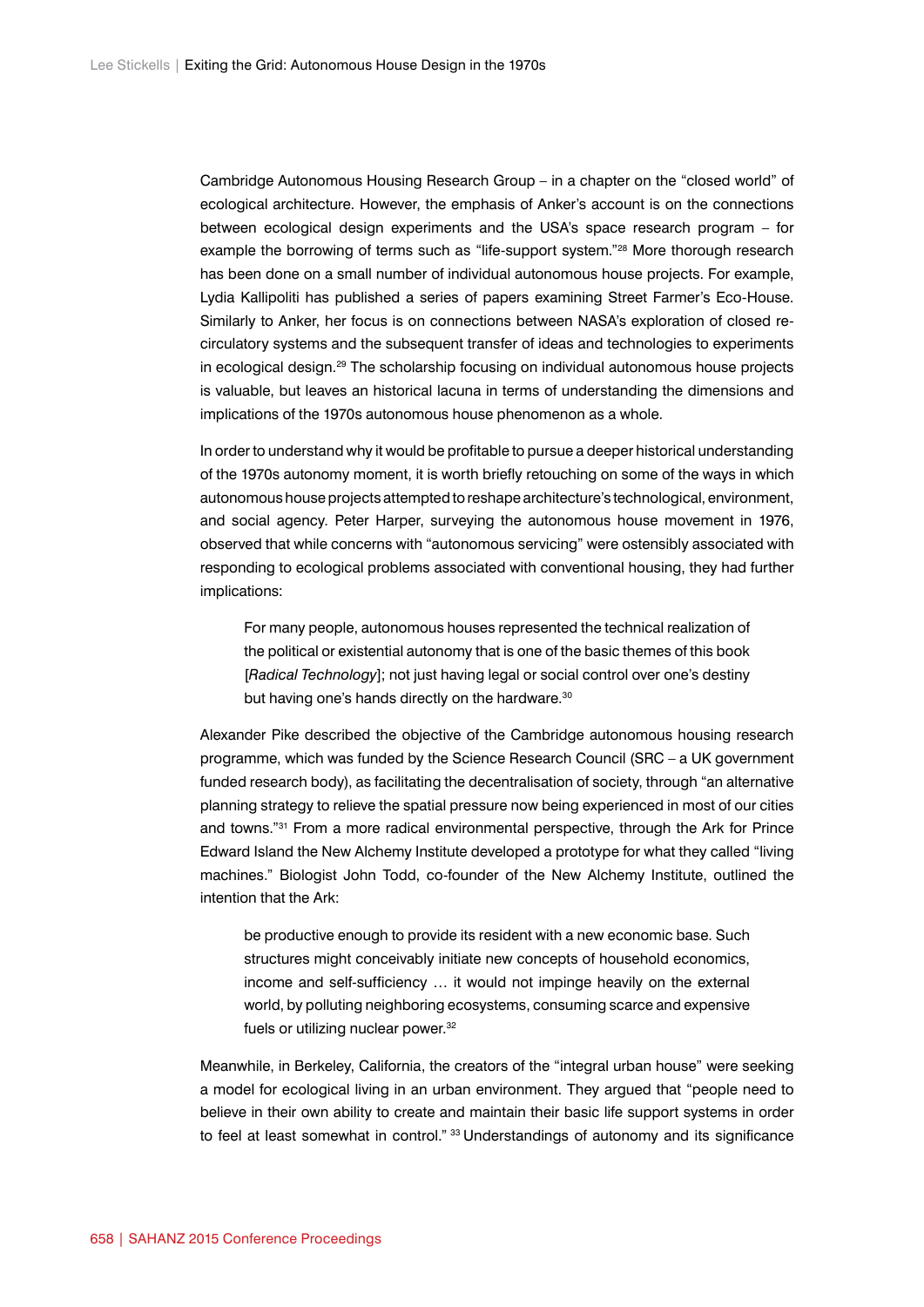Cambridge Autonomous Housing Research Group – in a chapter on the "closed world" of ecological architecture. However, the emphasis of Anker's account is on the connections between ecological design experiments and the USA's space research program – for example the borrowing of terms such as "life-support system."28 More thorough research has been done on a small number of individual autonomous house projects. For example, Lydia Kallipoliti has published a series of papers examining Street Farmer's Eco-House. Similarly to Anker, her focus is on connections between NASA's exploration of closed recirculatory systems and the subsequent transfer of ideas and technologies to experiments in ecological design.29 The scholarship focusing on individual autonomous house projects is valuable, but leaves an historical lacuna in terms of understanding the dimensions and implications of the 1970s autonomous house phenomenon as a whole.

In order to understand why it would be profitable to pursue a deeper historical understanding of the 1970s autonomy moment, it is worth briefly retouching on some of the ways in which autonomous house projects attempted to reshape architecture's technological, environment, and social agency. Peter Harper, surveying the autonomous house movement in 1976, observed that while concerns with "autonomous servicing" were ostensibly associated with responding to ecological problems associated with conventional housing, they had further implications:

For many people, autonomous houses represented the technical realization of the political or existential autonomy that is one of the basic themes of this book [*Radical Technology*]; not just having legal or social control over one's destiny but having one's hands directly on the hardware.<sup>30</sup>

Alexander Pike described the objective of the Cambridge autonomous housing research programme, which was funded by the Science Research Council (SRC – a UK government funded research body), as facilitating the decentralisation of society, through "an alternative planning strategy to relieve the spatial pressure now being experienced in most of our cities and towns."31 From a more radical environmental perspective, through the Ark for Prince Edward Island the New Alchemy Institute developed a prototype for what they called "living machines." Biologist John Todd, co-founder of the New Alchemy Institute, outlined the intention that the Ark:

be productive enough to provide its resident with a new economic base. Such structures might conceivably initiate new concepts of household economics, income and self-sufficiency … it would not impinge heavily on the external world, by polluting neighboring ecosystems, consuming scarce and expensive fuels or utilizing nuclear power.<sup>32</sup>

Meanwhile, in Berkeley, California, the creators of the "integral urban house" were seeking a model for ecological living in an urban environment. They argued that "people need to believe in their own ability to create and maintain their basic life support systems in order to feel at least somewhat in control." 33 Understandings of autonomy and its significance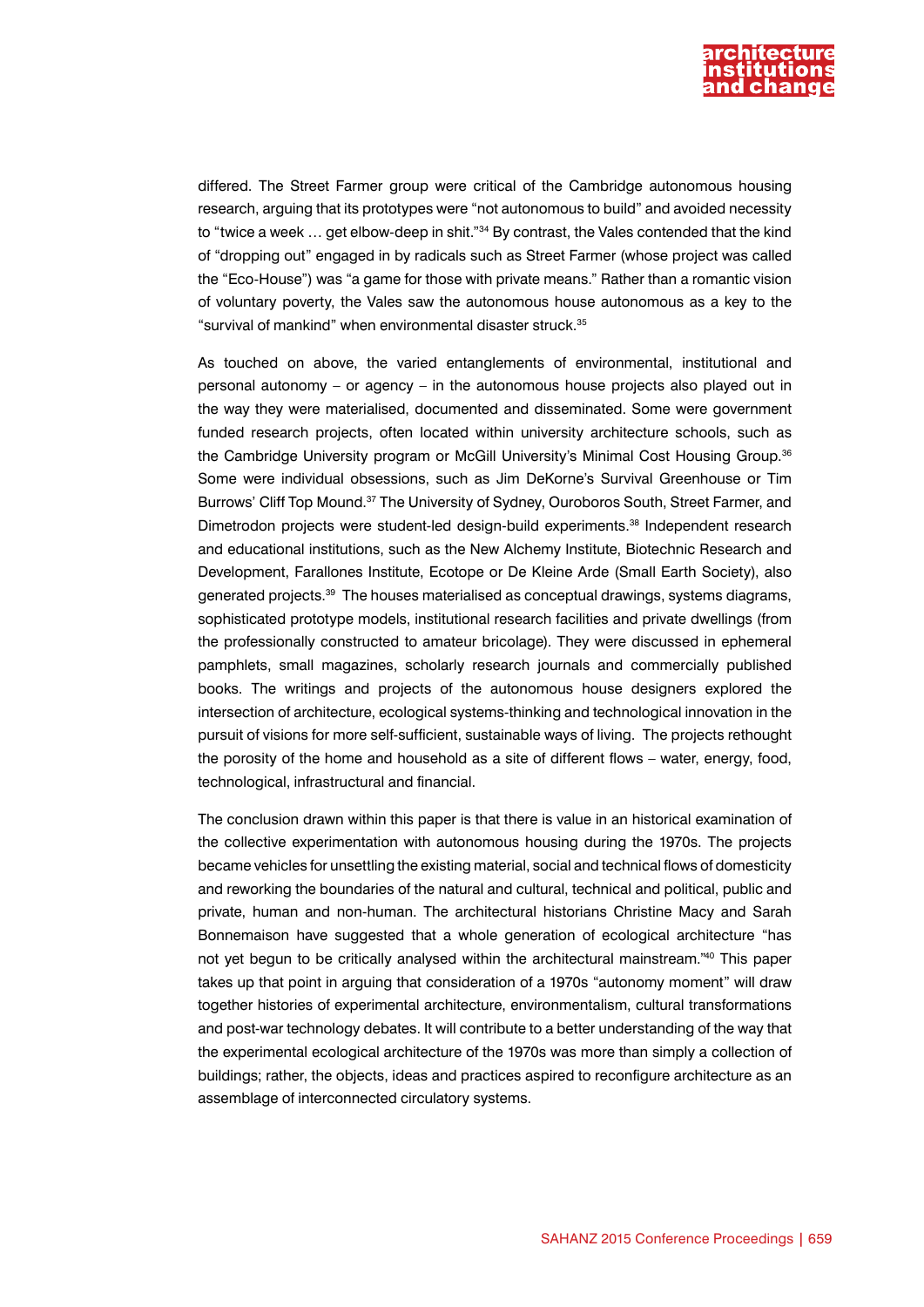

differed. The Street Farmer group were critical of the Cambridge autonomous housing research, arguing that its prototypes were "not autonomous to build" and avoided necessity to "twice a week ... get elbow-deep in shit."<sup>34</sup> By contrast, the Vales contended that the kind of "dropping out" engaged in by radicals such as Street Farmer (whose project was called the "Eco-House") was "a game for those with private means." Rather than a romantic vision of voluntary poverty, the Vales saw the autonomous house autonomous as a key to the "survival of mankind" when environmental disaster struck.35

As touched on above, the varied entanglements of environmental, institutional and personal autonomy – or agency – in the autonomous house projects also played out in the way they were materialised, documented and disseminated. Some were government funded research projects, often located within university architecture schools, such as the Cambridge University program or McGill University's Minimal Cost Housing Group.36 Some were individual obsessions, such as Jim DeKorne's Survival Greenhouse or Tim Burrows' Cliff Top Mound.37 The University of Sydney, Ouroboros South, Street Farmer, and Dimetrodon projects were student-led design-build experiments.38 Independent research and educational institutions, such as the New Alchemy Institute, Biotechnic Research and Development, Farallones Institute, Ecotope or De Kleine Arde (Small Earth Society), also generated projects.<sup>39</sup> The houses materialised as conceptual drawings, systems diagrams, sophisticated prototype models, institutional research facilities and private dwellings (from the professionally constructed to amateur bricolage). They were discussed in ephemeral pamphlets, small magazines, scholarly research journals and commercially published books. The writings and projects of the autonomous house designers explored the intersection of architecture, ecological systems-thinking and technological innovation in the pursuit of visions for more self-sufficient, sustainable ways of living. The projects rethought the porosity of the home and household as a site of different flows – water, energy, food, technological, infrastructural and financial.

The conclusion drawn within this paper is that there is value in an historical examination of the collective experimentation with autonomous housing during the 1970s. The projects became vehicles for unsettling the existing material, social and technical flows of domesticity and reworking the boundaries of the natural and cultural, technical and political, public and private, human and non-human. The architectural historians Christine Macy and Sarah Bonnemaison have suggested that a whole generation of ecological architecture "has not yet begun to be critically analysed within the architectural mainstream."40 This paper takes up that point in arguing that consideration of a 1970s "autonomy moment" will draw together histories of experimental architecture, environmentalism, cultural transformations and post-war technology debates. It will contribute to a better understanding of the way that the experimental ecological architecture of the 1970s was more than simply a collection of buildings; rather, the objects, ideas and practices aspired to reconfigure architecture as an assemblage of interconnected circulatory systems.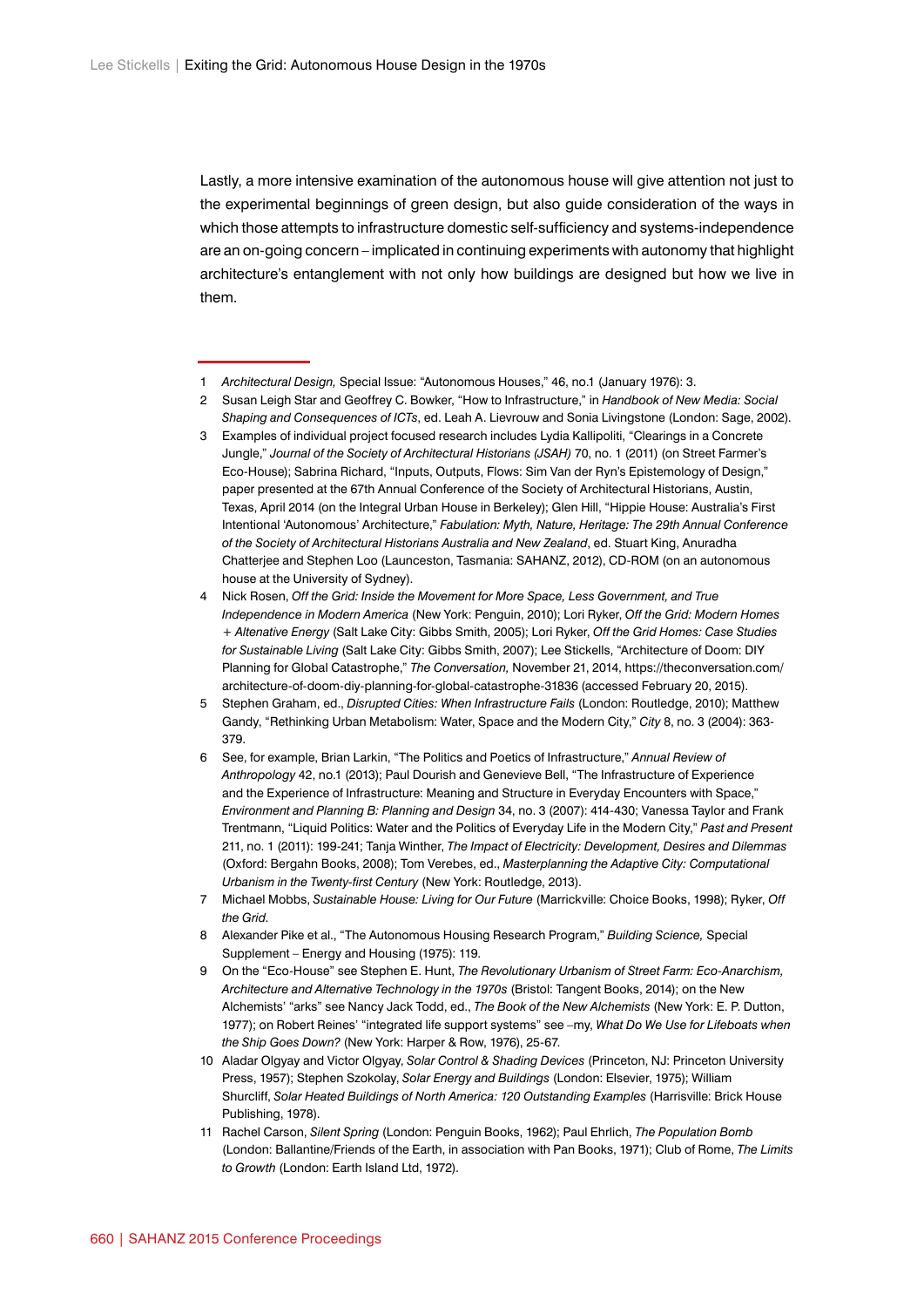Lastly, a more intensive examination of the autonomous house will give attention not just to the experimental beginnings of green design, but also guide consideration of the ways in which those attempts to infrastructure domestic self-sufficiency and systems-independence are an on-going concern – implicated in continuing experiments with autonomy that highlight architecture's entanglement with not only how buildings are designed but how we live in them.

- 2 Susan Leigh Star and Geoffrey C. Bowker, "How to Infrastructure," in *Handbook of New Media: Social Shaping and Consequences of ICTs*, ed. Leah A. Lievrouw and Sonia Livingstone (London: Sage, 2002).
- 3 Examples of individual project focused research includes Lydia Kallipoliti, "Clearings in a Concrete Jungle," *Journal of the Society of Architectural Historians (JSAH)* 70, no. 1 (2011) (on Street Farmer's Eco-House); Sabrina Richard, "Inputs, Outputs, Flows: Sim Van der Ryn's Epistemology of Design," paper presented at the 67th Annual Conference of the Society of Architectural Historians, Austin, Texas, April 2014 (on the Integral Urban House in Berkeley); Glen Hill, "Hippie House: Australia's First Intentional 'Autonomous' Architecture," *Fabulation: Myth, Nature, Heritage: The 29th Annual Conference of the Society of Architectural Historians Australia and New Zealand*, ed. Stuart King, Anuradha Chatterjee and Stephen Loo (Launceston, Tasmania: SAHANZ, 2012), CD-ROM (on an autonomous house at the University of Sydney).
- 4 Nick Rosen, *Off the Grid: Inside the Movement for More Space, Less Government, and True Independence in Modern America* (New York: Penguin, 2010); Lori Ryker, *Off the Grid: Modern Homes + Altenative Energy* (Salt Lake City: Gibbs Smith, 2005); Lori Ryker, *Off the Grid Homes: Case Studies for Sustainable Living* (Salt Lake City: Gibbs Smith, 2007); Lee Stickells, "Architecture of Doom: DIY Planning for Global Catastrophe," *The Conversation,* November 21, 2014, [https://theconversation.com/](https://theconversation.com/architecture-of-doom-diy-planning-for-global-catastrophe-31836) [architecture-of-doom-diy-planning-for-global-catastrophe-31836](https://theconversation.com/architecture-of-doom-diy-planning-for-global-catastrophe-31836) (accessed February 20, 2015).
- 5 Stephen Graham, ed., *Disrupted Cities: When Infrastructure Fails* (London: Routledge, 2010); Matthew Gandy, "Rethinking Urban Metabolism: Water, Space and the Modern City," *City* 8, no. 3 (2004): 363- 379.
- 6 See, for example, Brian Larkin, "The Politics and Poetics of Infrastructure," *Annual Review of Anthropology* 42, no.1 (2013); Paul Dourish and Genevieve Bell, "The Infrastructure of Experience and the Experience of Infrastructure: Meaning and Structure in Everyday Encounters with Space," *Environment and Planning B: Planning and Design* 34, no. 3 (2007): 414-430; Vanessa Taylor and Frank Trentmann, "Liquid Politics: Water and the Politics of Everyday Life in the Modern City," *Past and Present* 211, no. 1 (2011): 199-241; Tanja Winther, *The Impact of Electricity: Development, Desires and Dilemmas* (Oxford: Bergahn Books, 2008); Tom Verebes, ed., *Masterplanning the Adaptive City: Computational Urbanism in the Twenty-first Century* (New York: Routledge, 2013).
- 7 Michael Mobbs, *Sustainable House: Living for Our Future* (Marrickville: Choice Books, 1998); Ryker, *Off the Grid*.
- 8 Alexander Pike et al., "The Autonomous Housing Research Program," *Building Science,* Special Supplement – Energy and Housing (1975): 119.
- 9 On the "Eco-House" see Stephen E. Hunt, *The Revolutionary Urbanism of Street Farm: Eco-Anarchism, Architecture and Alternative Technology in the 1970s* (Bristol: Tangent Books, 2014); on the New Alchemists' "arks" see Nancy Jack Todd, ed., *The Book of the New Alchemists* (New York: E. P. Dutton, 1977); on Robert Reines' "integrated life support systems" see –my, *What Do We Use for Lifeboats when the Ship Goes Down?* (New York: Harper & Row, 1976), 25-67.
- 10 Aladar Olgyay and Victor Olgyay, *Solar Control & Shading Devices* (Princeton, NJ: Princeton University Press, 1957); Stephen Szokolay, *Solar Energy and Buildings* (London: Elsevier, 1975); William Shurcliff, *Solar Heated Buildings of North America: 120 Outstanding Examples* (Harrisville: Brick House Publishing, 1978).
- 11 Rachel Carson, *Silent Spring* (London: Penguin Books, 1962); Paul Ehrlich, *The Population Bomb* (London: Ballantine/Friends of the Earth, in association with Pan Books, 1971); Club of Rome, *The Limits to Growth* (London: Earth Island Ltd, 1972).

<sup>1</sup> *Architectural Design,* Special Issue: "Autonomous Houses," 46, no.1 (January 1976): 3.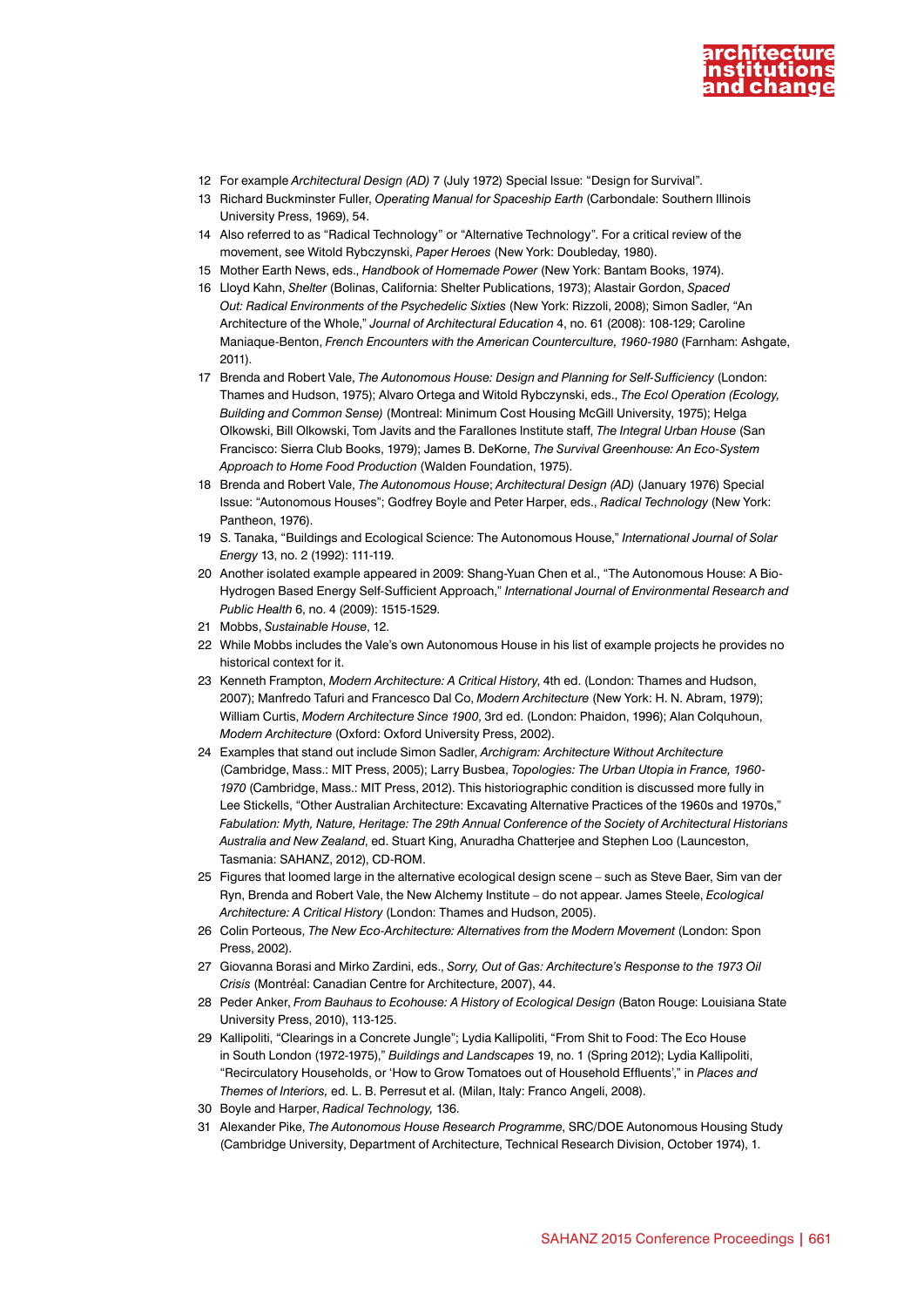

- 12 For example *Architectural Design (AD)* 7 (July 1972) Special Issue: "Design for Survival".
- 13 Richard Buckminster Fuller, *Operating Manual for Spaceship Earth* (Carbondale: Southern Illinois University Press, 1969), 54.
- 14 Also referred to as "Radical Technology" or "Alternative Technology". For a critical review of the movement, see Witold Rybczynski, *Paper Heroes* (New York: Doubleday, 1980).
- 15 Mother Earth News, eds., *Handbook of Homemade Power* (New York: Bantam Books, 1974).
- 16 Lloyd Kahn, *Shelter* (Bolinas, California: Shelter Publications, 1973); Alastair Gordon, *Spaced Out: Radical Environments of the Psychedelic Sixties* (New York: Rizzoli, 2008); Simon Sadler, "An Architecture of the Whole," *Journal of Architectural Education* 4, no. 61 (2008): 108-129; Caroline Maniaque-Benton, *French Encounters with the American Counterculture, 1960-1980* (Farnham: Ashgate, 2011).
- 17 Brenda and Robert Vale, *The Autonomous House: Design and Planning for Self-Sufficiency* (London: Thames and Hudson, 1975); Alvaro Ortega and Witold Rybczynski, eds., *The Ecol Operation (Ecology, Building and Common Sense)* (Montreal: Minimum Cost Housing McGill University, 1975); Helga Olkowski, Bill Olkowski, Tom Javits and the Farallones Institute staff, *The Integral Urban House* (San Francisco: Sierra Club Books, 1979); James B. DeKorne, *The Survival Greenhouse: An Eco-System Approach to Home Food Production* (Walden Foundation, 1975).
- 18 Brenda and Robert Vale, *The Autonomous House*; *Architectural Design (AD)* (January 1976) Special Issue: "Autonomous Houses"; Godfrey Boyle and Peter Harper, eds., *Radical Technology* (New York: Pantheon, 1976).
- 19 S. Tanaka, "Buildings and Ecological Science: The Autonomous House," *International Journal of Solar Energy* 13, no. 2 (1992): 111-119.
- 20 Another isolated example appeared in 2009: Shang-Yuan Chen et al., "The Autonomous House: A Bio-Hydrogen Based Energy Self-Sufficient Approach," *International Journal of Environmental Research and Public Health* 6, no. 4 (2009): 1515-1529.
- 21 Mobbs, *Sustainable House*, 12.
- 22 While Mobbs includes the Vale's own Autonomous House in his list of example projects he provides no historical context for it.
- 23 Kenneth Frampton, *Modern Architecture: A Critical History*, 4th ed. (London: Thames and Hudson, 2007); Manfredo Tafuri and Francesco Dal Co, *Modern Architecture* (New York: H. N. Abram, 1979); William Curtis, *Modern Architecture Since 1900*, 3rd ed. (London: Phaidon, 1996); Alan Colquhoun, *Modern Architecture* (Oxford: Oxford University Press, 2002).
- 24 Examples that stand out include Simon Sadler, *Archigram: Architecture Without Architecture* (Cambridge, Mass.: MIT Press, 2005); Larry Busbea, *Topologies: The Urban Utopia in France, 1960- 1970* (Cambridge, Mass.: MIT Press, 2012). This historiographic condition is discussed more fully in Lee Stickells, "Other Australian Architecture: Excavating Alternative Practices of the 1960s and 1970s," *Fabulation: Myth, Nature, Heritage: The 29th Annual Conference of the Society of Architectural Historians Australia and New Zealand*, ed. Stuart King, Anuradha Chatterjee and Stephen Loo (Launceston, Tasmania: SAHANZ, 2012), CD-ROM.
- 25 Figures that loomed large in the alternative ecological design scene such as Steve Baer, Sim van der Ryn, Brenda and Robert Vale, the New Alchemy Institute – do not appear. James Steele, *Ecological Architecture: A Critical History* (London: Thames and Hudson, 2005).
- 26 Colin Porteous, *The New Eco-Architecture: Alternatives from the Modern Movement* (London: Spon Press, 2002).
- 27 Giovanna Borasi and Mirko Zardini, eds., *Sorry, Out of Gas: Architecture's Response to the 1973 Oil Crisis* (Montréal: Canadian Centre for Architecture, 2007), 44.
- 28 Peder Anker, *From Bauhaus to Ecohouse: A History of Ecological Design* (Baton Rouge: Louisiana State University Press, 2010), 113-125.
- 29 Kallipoliti, "Clearings in a Concrete Jungle"; Lydia Kallipoliti, "From Shit to Food: The Eco House in South London (1972-1975)," *Buildings and Landscapes* 19, no. 1 (Spring 2012); Lydia Kallipoliti, "Recirculatory Households, or 'How to Grow Tomatoes out of Household Effluents'," in *Places and Themes of Interiors,* ed. L. B. Perresut et al. (Milan, Italy: Franco Angeli, 2008).
- 30 Boyle and Harper, *Radical Technology,* 136.
- 31 Alexander Pike, *The Autonomous House Research Programme*, SRC/DOE Autonomous Housing Study (Cambridge University, Department of Architecture, Technical Research Division, October 1974), 1.